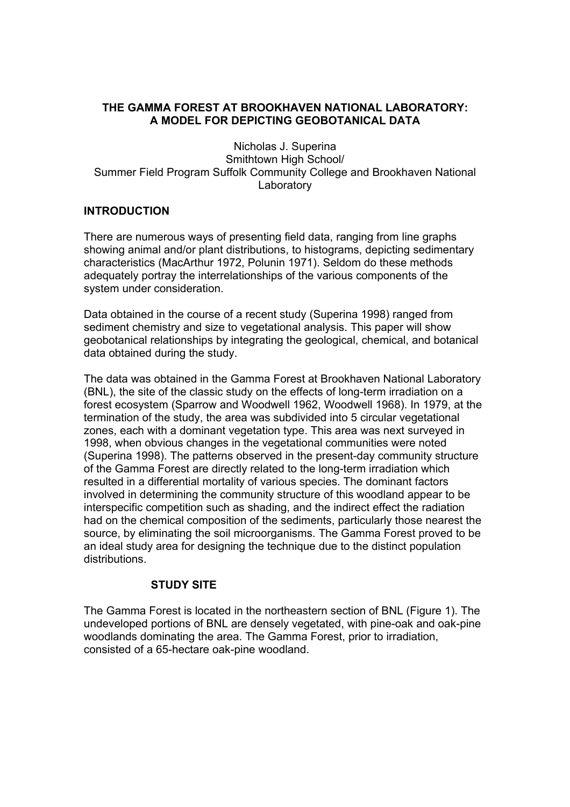# **THE GAMMA FOREST AT BROOKHAVEN NATIONAL LABORATORY: A MODEL FOR DEPICTING GEOBOTANICAL DATA**

Nicholas J. Superina Smithtown High School/ Summer Field Program Suffolk Community College and Brookhaven National **Laboratory** 

#### **INTRODUCTION**

There are numerous ways of presenting field data, ranging from line graphs showing animal and/or plant distributions, to histograms, depicting sedimentary characteristics (MacArthur 1972, Polunin 1971). Seldom do these methods adequately portray the interrelationships of the various components of the system under consideration.

Data obtained in the course of a recent study (Superina 1998) ranged from sediment chemistry and size to vegetational analysis. This paper will show geobotanical relationships by integrating the geological, chemical, and botanical data obtained during the study.

The data was obtained in the Gamma Forest at Brookhaven National Laboratory (BNL), the site of the classic study on the effects of long-term irradiation on a forest ecosystem (Sparrow and Woodwell 1962, Woodwell 1968). In 1979, at the termination of the study, the area was subdivided into 5 circular vegetational zones, each with a dominant vegetation type. This area was next surveyed in 1998, when obvious changes in the vegetational communities were noted (Superina 1998). The patterns observed in the present-day community structure of the Gamma Forest are directly related to the long-term irradiation which resulted in a differential mortality of various species. The dominant factors involved in determining the community structure of this woodland appear to be interspecific competition such as shading, and the indirect effect the radiation had on the chemical composition of the sediments, particularly those nearest the source, by eliminating the soil microorganisms. The Gamma Forest proved to be an ideal study area for designing the technique due to the distinct population distributions.

# **STUDY SITE**

The Gamma Forest is located in the northeastern section of BNL (Figure 1). The undeveloped portions of BNL are densely vegetated, with pine-oak and oak-pine woodlands dominating the area. The Gamma Forest, prior to irradiation, consisted of a 65-hectare oak-pine woodland.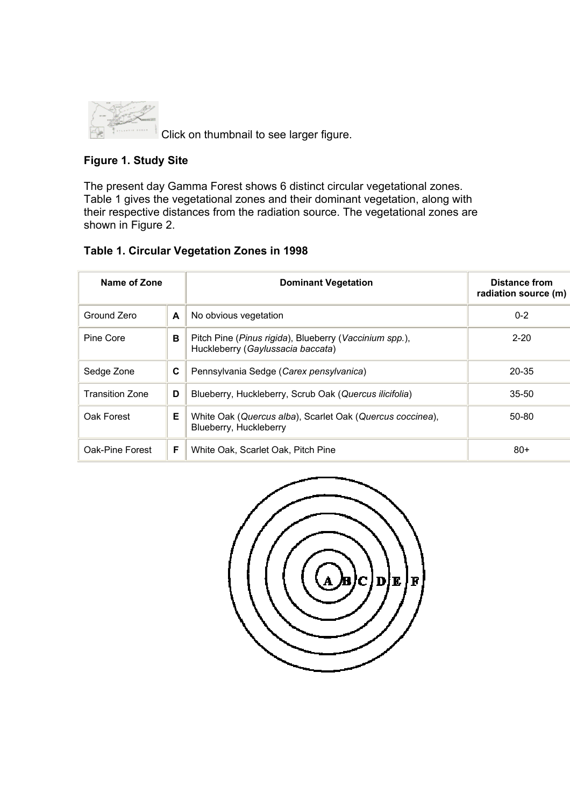

Click on thumbnail to see larger figure.

# **Figure 1. Study Site**

The present day Gamma Forest shows 6 distinct circular vegetational zones. Table 1 gives the vegetational zones and their dominant vegetation, along with their respective distances from the radiation source. The vegetational zones are shown in Figure 2.

# **Table 1. Circular Vegetation Zones in 1998**

| Name of Zone           |   | <b>Dominant Vegetation</b>                                                                  | Distance from<br>radiation source (m) |
|------------------------|---|---------------------------------------------------------------------------------------------|---------------------------------------|
| Ground Zero            | A | No obvious vegetation                                                                       | $0 - 2$                               |
| Pine Core              | в | Pitch Pine (Pinus rigida), Blueberry (Vaccinium spp.),<br>Huckleberry (Gaylussacia baccata) | $2 - 20$                              |
| Sedge Zone             | C | Pennsylvania Sedge (Carex pensylvanica)                                                     | $20 - 35$                             |
| <b>Transition Zone</b> | D | Blueberry, Huckleberry, Scrub Oak (Quercus ilicifolia)                                      | $35 - 50$                             |
| Oak Forest             | Е | White Oak (Quercus alba), Scarlet Oak (Quercus coccinea),<br>Blueberry, Huckleberry         | 50-80                                 |
| Oak-Pine Forest        | F | White Oak. Scarlet Oak. Pitch Pine                                                          | $80+$                                 |

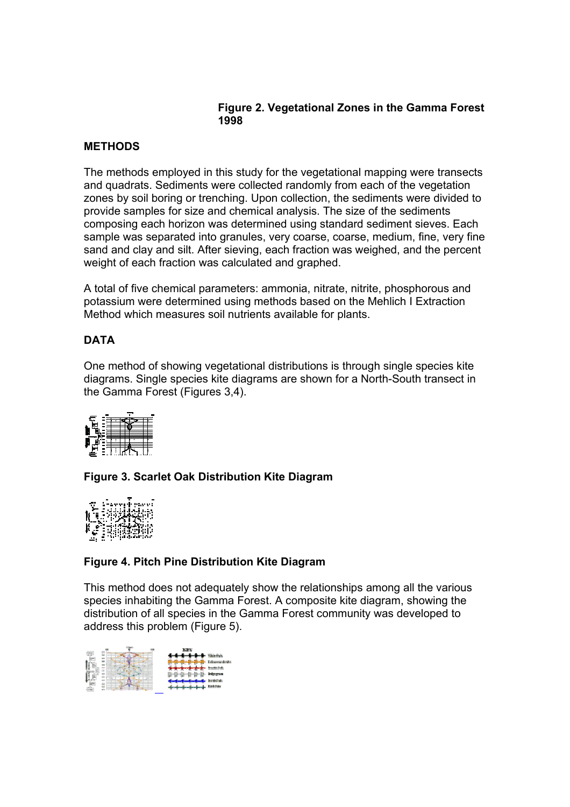#### **Figure 2. Vegetational Zones in the Gamma Forest 1998**

# **METHODS**

The methods employed in this study for the vegetational mapping were transects and quadrats. Sediments were collected randomly from each of the vegetation zones by soil boring or trenching. Upon collection, the sediments were divided to provide samples for size and chemical analysis. The size of the sediments composing each horizon was determined using standard sediment sieves. Each sample was separated into granules, very coarse, coarse, medium, fine, very fine sand and clay and silt. After sieving, each fraction was weighed, and the percent weight of each fraction was calculated and graphed.

A total of five chemical parameters: ammonia, nitrate, nitrite, phosphorous and potassium were determined using methods based on the Mehlich I Extraction Method which measures soil nutrients available for plants.

# **DATA**

One method of showing vegetational distributions is through single species kite diagrams. Single species kite diagrams are shown for a North-South transect in the Gamma Forest (Figures 3,4).



**Figure 3. Scarlet Oak Distribution Kite Diagram** 



# **Figure 4. Pitch Pine Distribution Kite Diagram**

This method does not adequately show the relationships among all the various species inhabiting the Gamma Forest. A composite kite diagram, showing the distribution of all species in the Gamma Forest community was developed to address this problem (Figure 5).

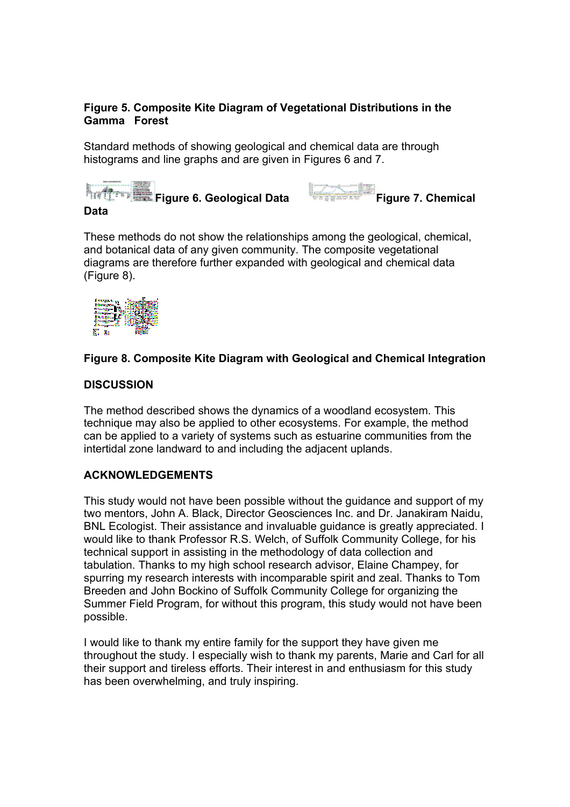# **Figure 5. Composite Kite Diagram of Vegetational Distributions in the Gamma Forest**

Standard methods of showing geological and chemical data are through histograms and line graphs and are given in Figures 6 and 7.





These methods do not show the relationships among the geological, chemical, and botanical data of any given community. The composite vegetational diagrams are therefore further expanded with geological and chemical data (Figure 8).

| n<br>B     |  |  |
|------------|--|--|
| ł<br>die . |  |  |
|            |  |  |
|            |  |  |

# **Figure 8. Composite Kite Diagram with Geological and Chemical Integration**

# **DISCUSSION**

The method described shows the dynamics of a woodland ecosystem. This technique may also be applied to other ecosystems. For example, the method can be applied to a variety of systems such as estuarine communities from the intertidal zone landward to and including the adjacent uplands.

# **ACKNOWLEDGEMENTS**

This study would not have been possible without the guidance and support of my two mentors, John A. Black, Director Geosciences Inc. and Dr. Janakiram Naidu, BNL Ecologist. Their assistance and invaluable guidance is greatly appreciated. I would like to thank Professor R.S. Welch, of Suffolk Community College, for his technical support in assisting in the methodology of data collection and tabulation. Thanks to my high school research advisor, Elaine Champey, for spurring my research interests with incomparable spirit and zeal. Thanks to Tom Breeden and John Bockino of Suffolk Community College for organizing the Summer Field Program, for without this program, this study would not have been possible.

I would like to thank my entire family for the support they have given me throughout the study. I especially wish to thank my parents, Marie and Carl for all their support and tireless efforts. Their interest in and enthusiasm for this study has been overwhelming, and truly inspiring.